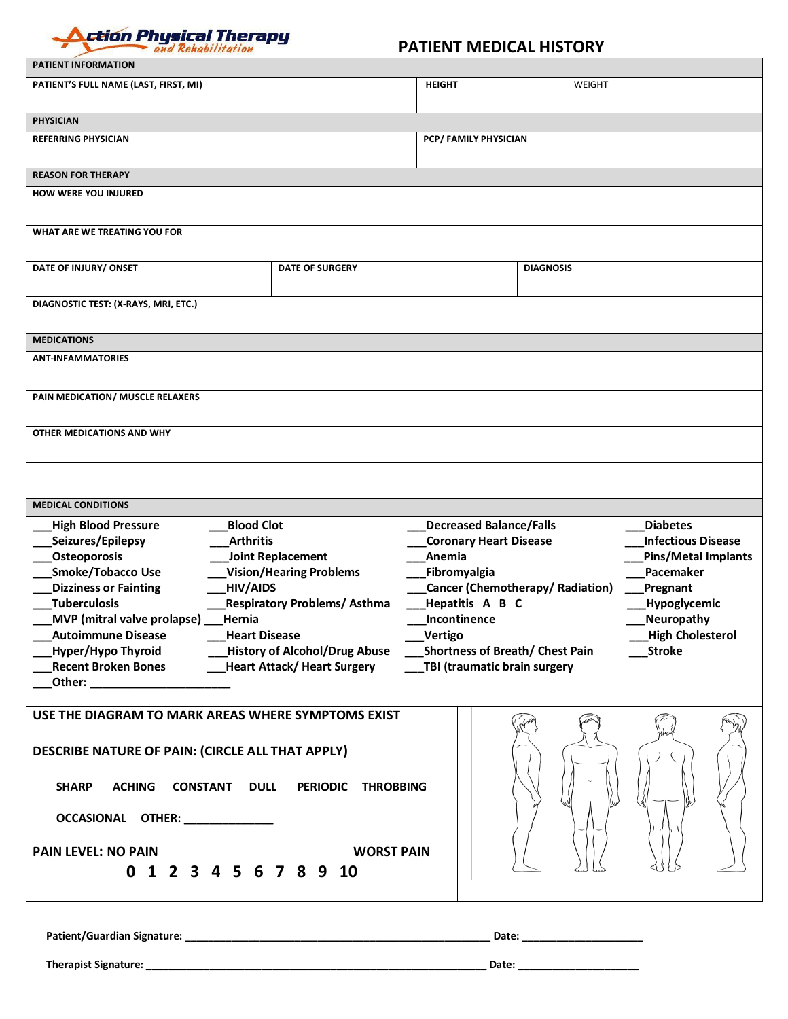# **Action Physical Therapy**

## **PATIENT MEDICAL HISTORY**

| PATIENT INFORMATION                                                                                                            |                                     |                                  |                  |                           |  |
|--------------------------------------------------------------------------------------------------------------------------------|-------------------------------------|----------------------------------|------------------|---------------------------|--|
| PATIENT'S FULL NAME (LAST, FIRST, MI)                                                                                          |                                     | <b>HEIGHT</b>                    | <b>WEIGHT</b>    |                           |  |
| <b>PHYSICIAN</b>                                                                                                               |                                     |                                  |                  |                           |  |
| <b>REFERRING PHYSICIAN</b>                                                                                                     |                                     | PCP/FAMILY PHYSICIAN             |                  |                           |  |
| <b>REASON FOR THERAPY</b>                                                                                                      |                                     |                                  |                  |                           |  |
| <b>HOW WERE YOU INJURED</b>                                                                                                    |                                     |                                  |                  |                           |  |
| WHAT ARE WE TREATING YOU FOR                                                                                                   |                                     |                                  |                  |                           |  |
| DATE OF INJURY/ ONSET                                                                                                          | <b>DATE OF SURGERY</b>              |                                  | <b>DIAGNOSIS</b> |                           |  |
| DIAGNOSTIC TEST: (X-RAYS, MRI, ETC.)                                                                                           |                                     |                                  |                  |                           |  |
| <b>MEDICATIONS</b>                                                                                                             |                                     |                                  |                  |                           |  |
| <b>ANT-INFAMMATORIES</b>                                                                                                       |                                     |                                  |                  |                           |  |
| PAIN MEDICATION/ MUSCLE RELAXERS                                                                                               |                                     |                                  |                  |                           |  |
| OTHER MEDICATIONS AND WHY                                                                                                      |                                     |                                  |                  |                           |  |
| <b>MEDICAL CONDITIONS</b>                                                                                                      |                                     |                                  |                  |                           |  |
| <b>Blood Clot</b>                                                                                                              |                                     |                                  |                  |                           |  |
| <b>High Blood Pressure</b>                                                                                                     |                                     | <b>Decreased Balance/Falls</b>   |                  | <b>Diabetes</b>           |  |
| Seizures/Epilepsy<br><b>Arthritis</b>                                                                                          |                                     | <b>Coronary Heart Disease</b>    |                  | <b>Infectious Disease</b> |  |
| <b>Osteoporosis</b>                                                                                                            | Joint Replacement                   | Anemia                           |                  | Pins/Metal Implants       |  |
| Smoke/Tobacco Use                                                                                                              | <b>Vision/Hearing Problems</b>      | Fibromyalgia                     |                  | Pacemaker                 |  |
| <b>HIV/AIDS</b><br><b>Dizziness or Fainting</b>                                                                                |                                     | Cancer (Chemotherapy/ Radiation) |                  | <b>Pregnant</b>           |  |
| <b>Tuberculosis</b><br>Hernia                                                                                                  | <b>Respiratory Problems/ Asthma</b> | Hepatitis A B C                  |                  | Hypoglycemic              |  |
| MVP (mitral valve prolapse)<br><b>Autoimmune Disease</b><br><b>Heart Disease</b>                                               |                                     | Incontinence<br>Vertigo          |                  | Neuropathy                |  |
| _Hyper/Hypo Thyroid    ____History of Alcohol/Drug Abuse  ___Shortness of Breath/ Chest Pain   ____Stroke                      |                                     |                                  |                  | High Cholesterol          |  |
| _Recent Broken Bones     ___Heart Attack/ Heart Surgery    ___TBI (traumatic brain surgery<br>_Other: ________________________ |                                     |                                  |                  |                           |  |
| USE THE DIAGRAM TO MARK AREAS WHERE SYMPTOMS EXIST                                                                             |                                     |                                  |                  |                           |  |
|                                                                                                                                |                                     |                                  |                  |                           |  |
| DESCRIBE NATURE OF PAIN: (CIRCLE ALL THAT APPLY)                                                                               |                                     |                                  |                  |                           |  |
|                                                                                                                                |                                     |                                  |                  |                           |  |
| <b>SHARP</b><br><b>ACHING</b><br><b>CONSTANT DULL</b>                                                                          | <b>PERIODIC</b><br><b>THROBBING</b> |                                  |                  |                           |  |
|                                                                                                                                |                                     |                                  |                  |                           |  |
| <b>PAIN LEVEL: NO PAIN</b>                                                                                                     | <b>WORST PAIN</b>                   |                                  |                  |                           |  |
| 0 1 2 3 4 5 6 7 8 9 10                                                                                                         |                                     |                                  |                  |                           |  |
|                                                                                                                                |                                     |                                  |                  |                           |  |

**Therapist Signature: \_\_\_\_\_\_\_\_\_\_\_\_\_\_\_\_\_\_\_\_\_\_\_\_\_\_\_\_\_\_\_\_\_\_\_\_\_\_\_\_\_\_\_\_\_\_\_\_\_\_\_\_\_\_\_\_\_\_\_ Date: \_\_\_\_\_\_\_\_\_\_\_\_\_\_\_\_\_\_\_\_\_**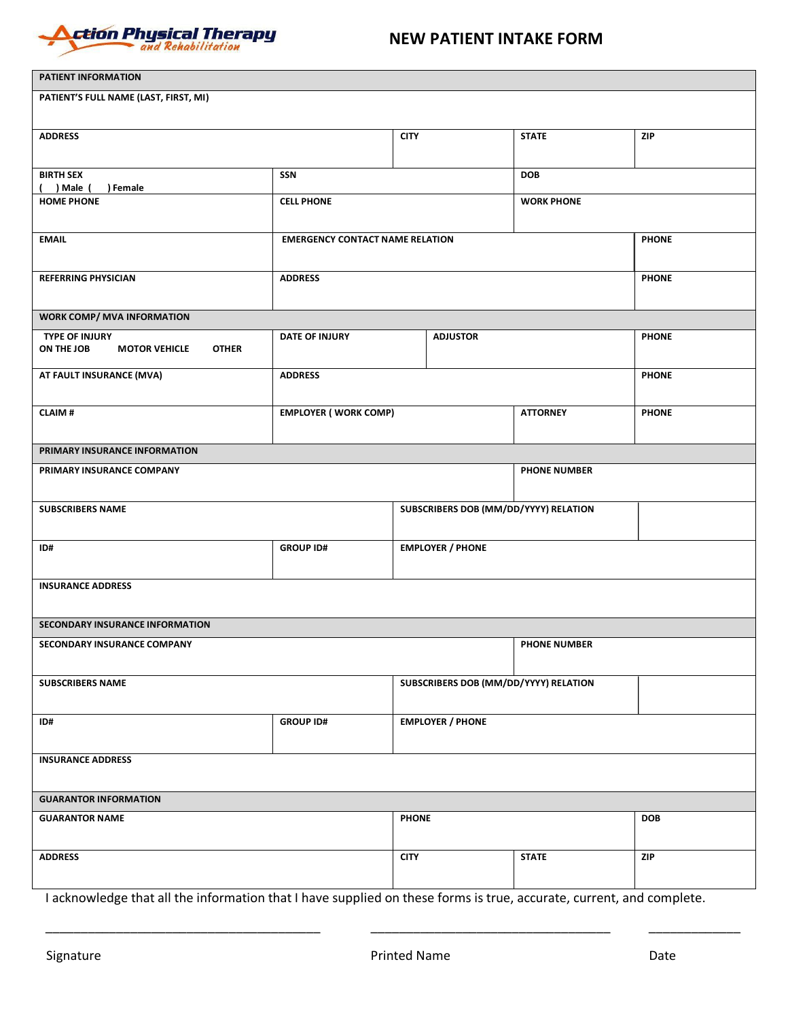

| PATIENT INFORMATION                                                                                                  |                                                        |              |                         |                                       |              |  |
|----------------------------------------------------------------------------------------------------------------------|--------------------------------------------------------|--------------|-------------------------|---------------------------------------|--------------|--|
| PATIENT'S FULL NAME (LAST, FIRST, MI)                                                                                |                                                        |              |                         |                                       |              |  |
|                                                                                                                      |                                                        |              |                         |                                       |              |  |
| <b>ADDRESS</b>                                                                                                       |                                                        | <b>CITY</b>  |                         | <b>STATE</b>                          | <b>ZIP</b>   |  |
|                                                                                                                      |                                                        |              |                         |                                       |              |  |
| <b>BIRTH SEX</b>                                                                                                     | SSN                                                    |              | <b>DOB</b>              |                                       |              |  |
| $( )$ Male $( )$<br>) Female<br><b>HOME PHONE</b>                                                                    |                                                        |              |                         | <b>WORK PHONE</b>                     |              |  |
|                                                                                                                      | <b>CELL PHONE</b>                                      |              |                         |                                       |              |  |
|                                                                                                                      |                                                        |              |                         |                                       |              |  |
| <b>EMAIL</b>                                                                                                         | <b>PHONE</b><br><b>EMERGENCY CONTACT NAME RELATION</b> |              |                         |                                       |              |  |
|                                                                                                                      |                                                        |              |                         |                                       |              |  |
| <b>REFERRING PHYSICIAN</b>                                                                                           | <b>ADDRESS</b>                                         |              |                         |                                       | <b>PHONE</b> |  |
|                                                                                                                      |                                                        |              |                         |                                       |              |  |
| <b>WORK COMP/ MVA INFORMATION</b>                                                                                    |                                                        |              |                         |                                       |              |  |
| <b>TYPE OF INJURY</b><br>ON THE JOB<br><b>OTHER</b><br><b>MOTOR VEHICLE</b>                                          | <b>DATE OF INJURY</b>                                  |              | <b>ADJUSTOR</b>         |                                       | <b>PHONE</b> |  |
|                                                                                                                      |                                                        |              |                         |                                       |              |  |
| AT FAULT INSURANCE (MVA)                                                                                             | <b>ADDRESS</b>                                         |              |                         |                                       | <b>PHONE</b> |  |
|                                                                                                                      |                                                        |              |                         |                                       |              |  |
| <b>CLAIM#</b>                                                                                                        | <b>EMPLOYER (WORK COMP)</b>                            |              |                         | <b>ATTORNEY</b>                       | <b>PHONE</b> |  |
|                                                                                                                      |                                                        |              |                         |                                       |              |  |
| PRIMARY INSURANCE INFORMATION                                                                                        |                                                        |              |                         |                                       |              |  |
| PRIMARY INSURANCE COMPANY                                                                                            |                                                        |              |                         | <b>PHONE NUMBER</b>                   |              |  |
|                                                                                                                      |                                                        |              |                         |                                       |              |  |
| <b>SUBSCRIBERS NAME</b>                                                                                              |                                                        |              |                         | SUBSCRIBERS DOB (MM/DD/YYYY) RELATION |              |  |
|                                                                                                                      |                                                        |              |                         |                                       |              |  |
| ID#                                                                                                                  | <b>GROUP ID#</b>                                       |              | <b>EMPLOYER / PHONE</b> |                                       |              |  |
|                                                                                                                      |                                                        |              |                         |                                       |              |  |
| <b>INSURANCE ADDRESS</b>                                                                                             |                                                        |              |                         |                                       |              |  |
|                                                                                                                      |                                                        |              |                         |                                       |              |  |
| SECONDARY INSURANCE INFORMATION                                                                                      |                                                        |              |                         |                                       |              |  |
| SECONDARY INSURANCE COMPANY                                                                                          |                                                        |              |                         | <b>PHONE NUMBER</b>                   |              |  |
|                                                                                                                      |                                                        |              |                         |                                       |              |  |
| <b>SUBSCRIBERS NAME</b>                                                                                              |                                                        |              |                         | SUBSCRIBERS DOB (MM/DD/YYYY) RELATION |              |  |
|                                                                                                                      |                                                        |              |                         |                                       |              |  |
| ID#                                                                                                                  | <b>EMPLOYER / PHONE</b><br><b>GROUP ID#</b>            |              |                         |                                       |              |  |
|                                                                                                                      |                                                        |              |                         |                                       |              |  |
| <b>INSURANCE ADDRESS</b>                                                                                             |                                                        |              |                         |                                       |              |  |
|                                                                                                                      |                                                        |              |                         |                                       |              |  |
| <b>GUARANTOR INFORMATION</b>                                                                                         |                                                        |              |                         |                                       |              |  |
| <b>GUARANTOR NAME</b>                                                                                                |                                                        | <b>PHONE</b> |                         |                                       | <b>DOB</b>   |  |
|                                                                                                                      |                                                        |              |                         |                                       |              |  |
| <b>ADDRESS</b>                                                                                                       |                                                        | <b>CITY</b>  |                         | <b>STATE</b>                          | ZIP          |  |
|                                                                                                                      |                                                        |              |                         |                                       |              |  |
| I acknowledge that all the information that I have supplied on these forms is true, accurate, current, and complete. |                                                        |              |                         |                                       |              |  |

\_\_\_\_\_\_\_\_\_\_\_\_\_\_\_\_\_\_\_\_\_\_\_\_\_\_\_\_\_\_\_\_\_\_\_\_\_\_\_ \_\_\_\_\_\_\_\_\_\_\_\_\_\_\_\_\_\_\_\_\_\_\_\_\_\_\_\_\_\_\_\_\_\_ \_\_\_\_\_\_\_\_\_\_\_\_\_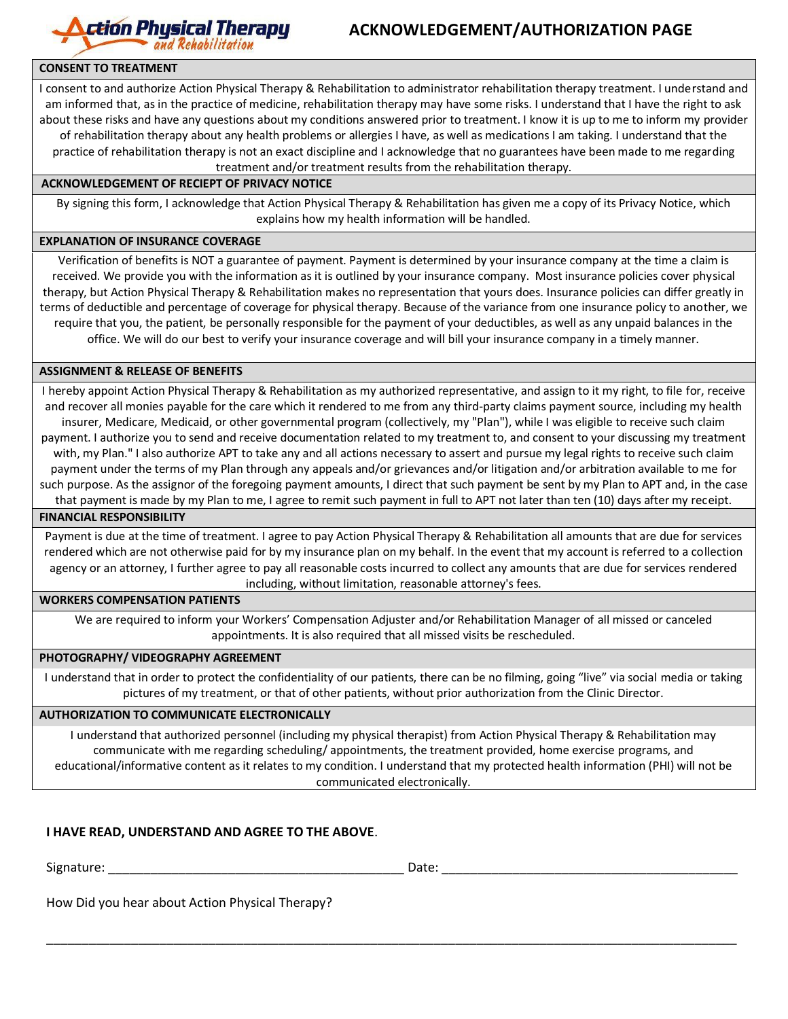

### **CONSENT TO TREATMENT**

I consent to and authorize Action Physical Therapy & Rehabilitation to administrator rehabilitation therapy treatment. I understand and am informed that, as in the practice of medicine, rehabilitation therapy may have some risks. I understand that I have the right to ask about these risks and have any questions about my conditions answered prior to treatment. I know it is up to me to inform my provider of rehabilitation therapy about any health problems or allergies I have, as well as medications I am taking. I understand that the practice of rehabilitation therapy is not an exact discipline and I acknowledge that no guarantees have been made to me regarding treatment and/or treatment results from the rehabilitation therapy.

#### **ACKNOWLEDGEMENT OF RECIEPT OF PRIVACY NOTICE**

By signing this form, I acknowledge that Action Physical Therapy & Rehabilitation has given me a copy of its Privacy Notice, which explains how my health information will be handled.

#### **EXPLANATION OF INSURANCE COVERAGE**

Verification of benefits is NOT a guarantee of payment. Payment is determined by your insurance company at the time a claim is received. We provide you with the information as it is outlined by your insurance company. Most insurance policies cover physical therapy, but Action Physical Therapy & Rehabilitation makes no representation that yours does. Insurance policies can differ greatly in terms of deductible and percentage of coverage for physical therapy. Because of the variance from one insurance policy to another, we require that you, the patient, be personally responsible for the payment of your deductibles, as well as any unpaid balances in the office. We will do our best to verify your insurance coverage and will bill your insurance company in a timely manner.

#### **ASSIGNMENT & RELEASE OF BENEFITS**

I hereby appoint Action Physical Therapy & Rehabilitation as my authorized representative, and assign to it my right, to file for, receive and recover all monies payable for the care which it rendered to me from any third-party claims payment source, including my health insurer, Medicare, Medicaid, or other governmental program (collectively, my "Plan"), while I was eligible to receive such claim payment. I authorize you to send and receive documentation related to my treatment to, and consent to your discussing my treatment with, my Plan." I also authorize APT to take any and all actions necessary to assert and pursue my legal rights to receive such claim payment under the terms of my Plan through any appeals and/or grievances and/or litigation and/or arbitration available to me for such purpose. As the assignor of the foregoing payment amounts, I direct that such payment be sent by my Plan to APT and, in the case that payment is made by my Plan to me, I agree to remit such payment in full to APT not later than ten (10) days after my receipt.

### **FINANCIAL RESPONSIBILITY**

Payment is due at the time of treatment. I agree to pay Action Physical Therapy & Rehabilitation all amounts that are due for services rendered which are not otherwise paid for by my insurance plan on my behalf. In the event that my account is referred to a collection agency or an attorney, I further agree to pay all reasonable costs incurred to collect any amounts that are due for services rendered including, without limitation, reasonable attorney's fees.

#### **WORKERS COMPENSATION PATIENTS**

We are required to inform your Workers' Compensation Adjuster and/or Rehabilitation Manager of all missed or canceled appointments. It is also required that all missed visits be rescheduled.

#### **PHOTOGRAPHY/ VIDEOGRAPHY AGREEMENT**

I understand that in order to protect the confidentiality of our patients, there can be no filming, going "live" via social media or taking pictures of my treatment, or that of other patients, without prior authorization from the Clinic Director.

#### **AUTHORIZATION TO COMMUNICATE ELECTRONICALLY**

I understand that authorized personnel (including my physical therapist) from Action Physical Therapy & Rehabilitation may communicate with me regarding scheduling/ appointments, the treatment provided, home exercise programs, and educational/informative content as it relates to my condition. I understand that my protected health information (PHI) will not be communicated electronically.

\_\_\_\_\_\_\_\_\_\_\_\_\_\_\_\_\_\_\_\_\_\_\_\_\_\_\_\_\_\_\_\_\_\_\_\_\_\_\_\_\_\_\_\_\_\_\_\_\_\_\_\_\_\_\_\_\_\_\_\_\_\_\_\_\_\_\_\_\_\_\_\_\_\_\_\_\_\_\_\_\_\_\_\_\_\_\_\_\_\_\_\_\_\_\_\_\_\_

### **I HAVE READ, UNDERSTAND AND AGREE TO THE ABOVE**.

Signature: \_\_\_\_\_\_\_\_\_\_\_\_\_\_\_\_\_\_\_\_\_\_\_\_\_\_\_\_\_\_\_\_\_\_\_\_\_\_\_\_\_\_ Date: \_\_\_\_\_\_\_\_\_\_\_\_\_\_\_\_\_\_\_\_\_\_\_\_\_\_\_\_\_\_\_\_\_\_\_\_\_\_\_\_\_\_

How Did you hear about Action Physical Therapy?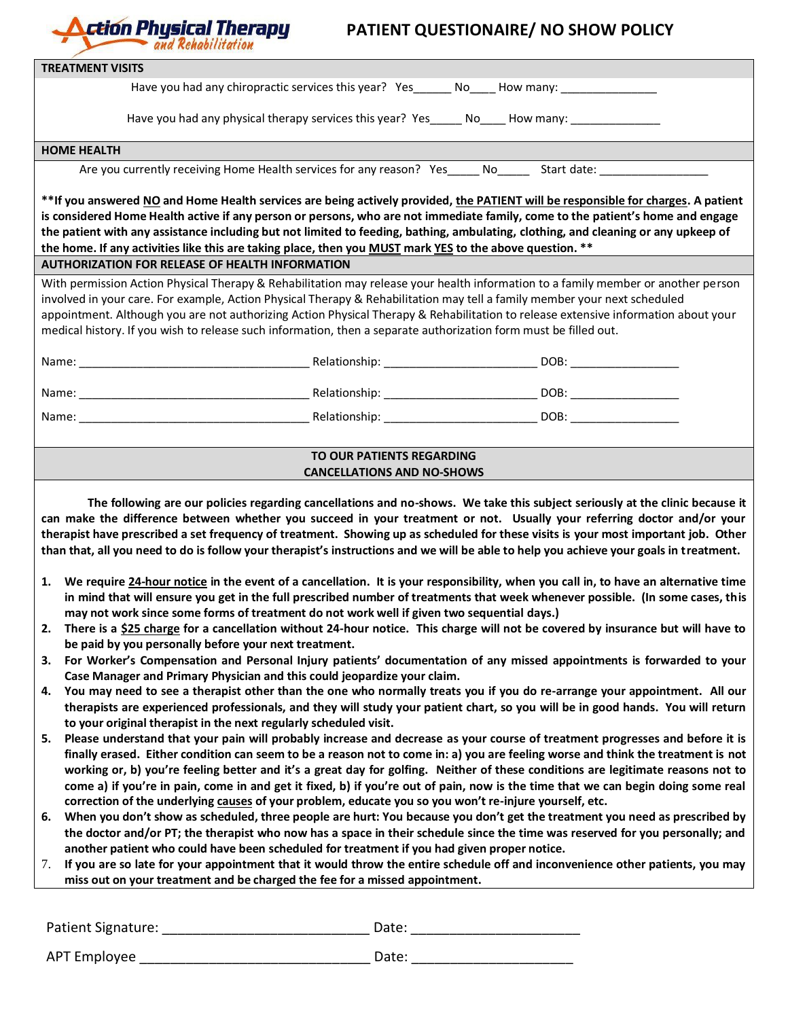

| <b>TREATMENT VISITS</b>                                                                                                                                  |                                                                                                                                                                                                                                                                                                                                                                                 |                                                                                                                                                                                                                                                                                                                                                                                                                                                                                                                                                                                                                                                                                                                                                                                                                                                                                                                                                                                                                                                                                                                                                                                                                                                                                                                                                                                                                                                                                                                                                                                                                                                                                                                                                                                                                                                                                                                                                                                                                                                                                                                                                            |
|----------------------------------------------------------------------------------------------------------------------------------------------------------|---------------------------------------------------------------------------------------------------------------------------------------------------------------------------------------------------------------------------------------------------------------------------------------------------------------------------------------------------------------------------------|------------------------------------------------------------------------------------------------------------------------------------------------------------------------------------------------------------------------------------------------------------------------------------------------------------------------------------------------------------------------------------------------------------------------------------------------------------------------------------------------------------------------------------------------------------------------------------------------------------------------------------------------------------------------------------------------------------------------------------------------------------------------------------------------------------------------------------------------------------------------------------------------------------------------------------------------------------------------------------------------------------------------------------------------------------------------------------------------------------------------------------------------------------------------------------------------------------------------------------------------------------------------------------------------------------------------------------------------------------------------------------------------------------------------------------------------------------------------------------------------------------------------------------------------------------------------------------------------------------------------------------------------------------------------------------------------------------------------------------------------------------------------------------------------------------------------------------------------------------------------------------------------------------------------------------------------------------------------------------------------------------------------------------------------------------------------------------------------------------------------------------------------------------|
|                                                                                                                                                          | Have you had any chiropractic services this year? Yes______ No____ How many: ______________                                                                                                                                                                                                                                                                                     |                                                                                                                                                                                                                                                                                                                                                                                                                                                                                                                                                                                                                                                                                                                                                                                                                                                                                                                                                                                                                                                                                                                                                                                                                                                                                                                                                                                                                                                                                                                                                                                                                                                                                                                                                                                                                                                                                                                                                                                                                                                                                                                                                            |
|                                                                                                                                                          | Have you had any physical therapy services this year? Yes______ No____ How many: __________________                                                                                                                                                                                                                                                                             |                                                                                                                                                                                                                                                                                                                                                                                                                                                                                                                                                                                                                                                                                                                                                                                                                                                                                                                                                                                                                                                                                                                                                                                                                                                                                                                                                                                                                                                                                                                                                                                                                                                                                                                                                                                                                                                                                                                                                                                                                                                                                                                                                            |
| <b>HOME HEALTH</b>                                                                                                                                       |                                                                                                                                                                                                                                                                                                                                                                                 |                                                                                                                                                                                                                                                                                                                                                                                                                                                                                                                                                                                                                                                                                                                                                                                                                                                                                                                                                                                                                                                                                                                                                                                                                                                                                                                                                                                                                                                                                                                                                                                                                                                                                                                                                                                                                                                                                                                                                                                                                                                                                                                                                            |
|                                                                                                                                                          |                                                                                                                                                                                                                                                                                                                                                                                 |                                                                                                                                                                                                                                                                                                                                                                                                                                                                                                                                                                                                                                                                                                                                                                                                                                                                                                                                                                                                                                                                                                                                                                                                                                                                                                                                                                                                                                                                                                                                                                                                                                                                                                                                                                                                                                                                                                                                                                                                                                                                                                                                                            |
|                                                                                                                                                          |                                                                                                                                                                                                                                                                                                                                                                                 | Are you currently receiving Home Health services for any reason? Yes_____ No______ Start date: _______________                                                                                                                                                                                                                                                                                                                                                                                                                                                                                                                                                                                                                                                                                                                                                                                                                                                                                                                                                                                                                                                                                                                                                                                                                                                                                                                                                                                                                                                                                                                                                                                                                                                                                                                                                                                                                                                                                                                                                                                                                                             |
|                                                                                                                                                          | the home. If any activities like this are taking place, then you MUST mark YES to the above question. **                                                                                                                                                                                                                                                                        | **If you answered NO and Home Health services are being actively provided, the PATIENT will be responsible for charges. A patient<br>is considered Home Health active if any person or persons, who are not immediate family, come to the patient's home and engage<br>the patient with any assistance including but not limited to feeding, bathing, ambulating, clothing, and cleaning or any upkeep of                                                                                                                                                                                                                                                                                                                                                                                                                                                                                                                                                                                                                                                                                                                                                                                                                                                                                                                                                                                                                                                                                                                                                                                                                                                                                                                                                                                                                                                                                                                                                                                                                                                                                                                                                  |
| <b>AUTHORIZATION FOR RELEASE OF HEALTH INFORMATION</b>                                                                                                   |                                                                                                                                                                                                                                                                                                                                                                                 |                                                                                                                                                                                                                                                                                                                                                                                                                                                                                                                                                                                                                                                                                                                                                                                                                                                                                                                                                                                                                                                                                                                                                                                                                                                                                                                                                                                                                                                                                                                                                                                                                                                                                                                                                                                                                                                                                                                                                                                                                                                                                                                                                            |
|                                                                                                                                                          | medical history. If you wish to release such information, then a separate authorization form must be filled out.                                                                                                                                                                                                                                                                | With permission Action Physical Therapy & Rehabilitation may release your health information to a family member or another person<br>involved in your care. For example, Action Physical Therapy & Rehabilitation may tell a family member your next scheduled<br>appointment. Although you are not authorizing Action Physical Therapy & Rehabilitation to release extensive information about your                                                                                                                                                                                                                                                                                                                                                                                                                                                                                                                                                                                                                                                                                                                                                                                                                                                                                                                                                                                                                                                                                                                                                                                                                                                                                                                                                                                                                                                                                                                                                                                                                                                                                                                                                       |
|                                                                                                                                                          |                                                                                                                                                                                                                                                                                                                                                                                 |                                                                                                                                                                                                                                                                                                                                                                                                                                                                                                                                                                                                                                                                                                                                                                                                                                                                                                                                                                                                                                                                                                                                                                                                                                                                                                                                                                                                                                                                                                                                                                                                                                                                                                                                                                                                                                                                                                                                                                                                                                                                                                                                                            |
|                                                                                                                                                          |                                                                                                                                                                                                                                                                                                                                                                                 |                                                                                                                                                                                                                                                                                                                                                                                                                                                                                                                                                                                                                                                                                                                                                                                                                                                                                                                                                                                                                                                                                                                                                                                                                                                                                                                                                                                                                                                                                                                                                                                                                                                                                                                                                                                                                                                                                                                                                                                                                                                                                                                                                            |
|                                                                                                                                                          |                                                                                                                                                                                                                                                                                                                                                                                 |                                                                                                                                                                                                                                                                                                                                                                                                                                                                                                                                                                                                                                                                                                                                                                                                                                                                                                                                                                                                                                                                                                                                                                                                                                                                                                                                                                                                                                                                                                                                                                                                                                                                                                                                                                                                                                                                                                                                                                                                                                                                                                                                                            |
|                                                                                                                                                          |                                                                                                                                                                                                                                                                                                                                                                                 |                                                                                                                                                                                                                                                                                                                                                                                                                                                                                                                                                                                                                                                                                                                                                                                                                                                                                                                                                                                                                                                                                                                                                                                                                                                                                                                                                                                                                                                                                                                                                                                                                                                                                                                                                                                                                                                                                                                                                                                                                                                                                                                                                            |
|                                                                                                                                                          | <b>TO OUR PATIENTS REGARDING</b>                                                                                                                                                                                                                                                                                                                                                |                                                                                                                                                                                                                                                                                                                                                                                                                                                                                                                                                                                                                                                                                                                                                                                                                                                                                                                                                                                                                                                                                                                                                                                                                                                                                                                                                                                                                                                                                                                                                                                                                                                                                                                                                                                                                                                                                                                                                                                                                                                                                                                                                            |
| 1.<br>be paid by you personally before your next treatment.<br>4.<br>to your original therapist in the next regularly scheduled visit.<br>5.<br>6.<br>7. | may not work since some forms of treatment do not work well if given two sequential days.)<br>Case Manager and Primary Physician and this could jeopardize your claim.<br>correction of the underlying causes of your problem, educate you so you won't re-injure yourself, etc.<br>another patient who could have been scheduled for treatment if you had given proper notice. | can make the difference between whether you succeed in your treatment or not. Usually your referring doctor and/or your<br>therapist have prescribed a set frequency of treatment. Showing up as scheduled for these visits is your most important job. Other<br>than that, all you need to do is follow your therapist's instructions and we will be able to help you achieve your goals in treatment.<br>We require 24-hour notice in the event of a cancellation. It is your responsibility, when you call in, to have an alternative time<br>in mind that will ensure you get in the full prescribed number of treatments that week whenever possible. (In some cases, this<br>There is a \$25 charge for a cancellation without 24-hour notice. This charge will not be covered by insurance but will have to<br>3. For Worker's Compensation and Personal Injury patients' documentation of any missed appointments is forwarded to your<br>You may need to see a therapist other than the one who normally treats you if you do re-arrange your appointment. All our<br>therapists are experienced professionals, and they will study your patient chart, so you will be in good hands. You will return<br>Please understand that your pain will probably increase and decrease as your course of treatment progresses and before it is<br>finally erased. Either condition can seem to be a reason not to come in: a) you are feeling worse and think the treatment is not<br>working or, b) you're feeling better and it's a great day for golfing. Neither of these conditions are legitimate reasons not to<br>come a) if you're in pain, come in and get it fixed, b) if you're out of pain, now is the time that we can begin doing some real<br>When you don't show as scheduled, three people are hurt: You because you don't get the treatment you need as prescribed by<br>the doctor and/or PT; the therapist who now has a space in their schedule since the time was reserved for you personally; and<br>If you are so late for your appointment that it would throw the entire schedule off and inconvenience other patients, you may |
|                                                                                                                                                          | miss out on your treatment and be charged the fee for a missed appointment.                                                                                                                                                                                                                                                                                                     |                                                                                                                                                                                                                                                                                                                                                                                                                                                                                                                                                                                                                                                                                                                                                                                                                                                                                                                                                                                                                                                                                                                                                                                                                                                                                                                                                                                                                                                                                                                                                                                                                                                                                                                                                                                                                                                                                                                                                                                                                                                                                                                                                            |
| Patient Signature:                                                                                                                                       | Date:                                                                                                                                                                                                                                                                                                                                                                           |                                                                                                                                                                                                                                                                                                                                                                                                                                                                                                                                                                                                                                                                                                                                                                                                                                                                                                                                                                                                                                                                                                                                                                                                                                                                                                                                                                                                                                                                                                                                                                                                                                                                                                                                                                                                                                                                                                                                                                                                                                                                                                                                                            |

| . 0          | ----  |
|--------------|-------|
| APT Employee | Jato. |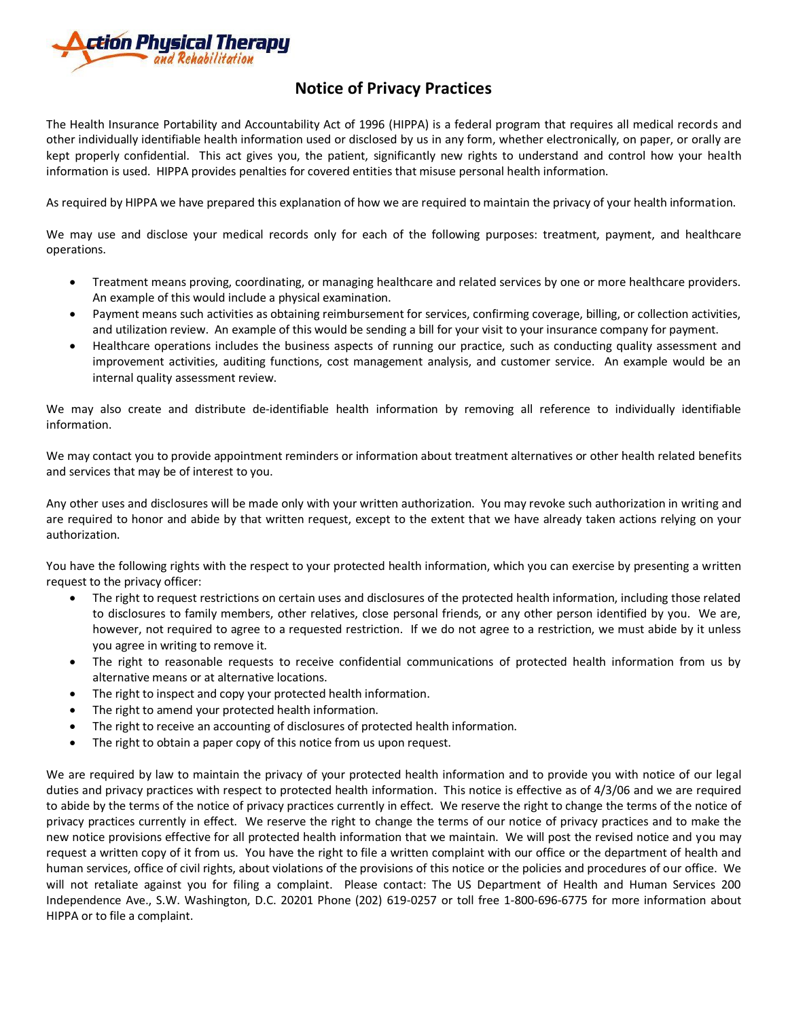

# **Notice of Privacy Practices**

The Health Insurance Portability and Accountability Act of 1996 (HIPPA) is a federal program that requires all medical records and other individually identifiable health information used or disclosed by us in any form, whether electronically, on paper, or orally are kept properly confidential. This act gives you, the patient, significantly new rights to understand and control how your health information is used. HIPPA provides penalties for covered entities that misuse personal health information.

As required by HIPPA we have prepared this explanation of how we are required to maintain the privacy of your health information.

We may use and disclose your medical records only for each of the following purposes: treatment, payment, and healthcare operations.

- Treatment means proving, coordinating, or managing healthcare and related services by one or more healthcare providers. An example of this would include a physical examination.
- Payment means such activities as obtaining reimbursement for services, confirming coverage, billing, or collection activities, and utilization review. An example of this would be sending a bill for your visit to your insurance company for payment.
- Healthcare operations includes the business aspects of running our practice, such as conducting quality assessment and improvement activities, auditing functions, cost management analysis, and customer service. An example would be an internal quality assessment review.

We may also create and distribute de-identifiable health information by removing all reference to individually identifiable information.

We may contact you to provide appointment reminders or information about treatment alternatives or other health related benefits and services that may be of interest to you.

Any other uses and disclosures will be made only with your written authorization. You may revoke such authorization in writing and are required to honor and abide by that written request, except to the extent that we have already taken actions relying on your authorization.

You have the following rights with the respect to your protected health information, which you can exercise by presenting a written request to the privacy officer:

- The right to request restrictions on certain uses and disclosures of the protected health information, including those related to disclosures to family members, other relatives, close personal friends, or any other person identified by you. We are, however, not required to agree to a requested restriction. If we do not agree to a restriction, we must abide by it unless you agree in writing to remove it.
- The right to reasonable requests to receive confidential communications of protected health information from us by alternative means or at alternative locations.
- The right to inspect and copy your protected health information.
- The right to amend your protected health information.
- The right to receive an accounting of disclosures of protected health information.
- The right to obtain a paper copy of this notice from us upon request.

We are required by law to maintain the privacy of your protected health information and to provide you with notice of our legal duties and privacy practices with respect to protected health information. This notice is effective as of 4/3/06 and we are required to abide by the terms of the notice of privacy practices currently in effect. We reserve the right to change the terms of the notice of privacy practices currently in effect. We reserve the right to change the terms of our notice of privacy practices and to make the new notice provisions effective for all protected health information that we maintain. We will post the revised notice and you may request a written copy of it from us. You have the right to file a written complaint with our office or the department of health and human services, office of civil rights, about violations of the provisions of this notice or the policies and procedures of our office. We will not retaliate against you for filing a complaint. Please contact: The US Department of Health and Human Services 200 Independence Ave., S.W. Washington, D.C. 20201 Phone (202) 619-0257 or toll free 1-800-696-6775 for more information about HIPPA or to file a complaint.